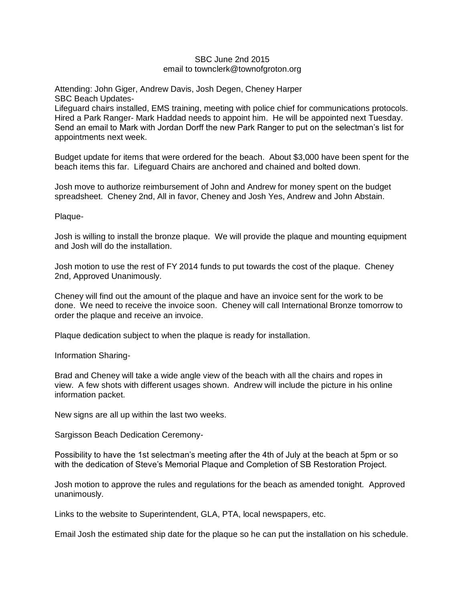## SBC June 2nd 2015 email to townclerk@townofgroton.org

Attending: John Giger, Andrew Davis, Josh Degen, Cheney Harper SBC Beach Updates-

Lifeguard chairs installed, EMS training, meeting with police chief for communications protocols. Hired a Park Ranger- Mark Haddad needs to appoint him. He will be appointed next Tuesday. Send an email to Mark with Jordan Dorff the new Park Ranger to put on the selectman's list for appointments next week.

Budget update for items that were ordered for the beach. About \$3,000 have been spent for the beach items this far. Lifeguard Chairs are anchored and chained and bolted down.

Josh move to authorize reimbursement of John and Andrew for money spent on the budget spreadsheet. Cheney 2nd, All in favor, Cheney and Josh Yes, Andrew and John Abstain.

Plaque-

Josh is willing to install the bronze plaque. We will provide the plaque and mounting equipment and Josh will do the installation.

Josh motion to use the rest of FY 2014 funds to put towards the cost of the plaque. Cheney 2nd, Approved Unanimously.

Cheney will find out the amount of the plaque and have an invoice sent for the work to be done. We need to receive the invoice soon. Cheney will call International Bronze tomorrow to order the plaque and receive an invoice.

Plaque dedication subject to when the plaque is ready for installation.

Information Sharing-

Brad and Cheney will take a wide angle view of the beach with all the chairs and ropes in view. A few shots with different usages shown. Andrew will include the picture in his online information packet.

New signs are all up within the last two weeks.

Sargisson Beach Dedication Ceremony-

Possibility to have the 1st selectman's meeting after the 4th of July at the beach at 5pm or so with the dedication of Steve's Memorial Plaque and Completion of SB Restoration Project.

Josh motion to approve the rules and regulations for the beach as amended tonight. Approved unanimously.

Links to the website to Superintendent, GLA, PTA, local newspapers, etc.

Email Josh the estimated ship date for the plaque so he can put the installation on his schedule.